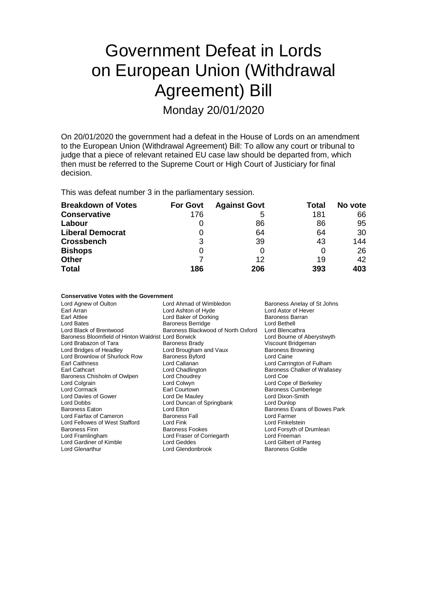# Government Defeat in Lords on European Union (Withdrawal Agreement) Bill

Monday 20/01/2020

On 20/01/2020 the government had a defeat in the House of Lords on an amendment to the European Union (Withdrawal Agreement) Bill: To allow any court or tribunal to judge that a piece of relevant retained EU case law should be departed from, which then must be referred to the Supreme Court or High Court of Justiciary for final decision.

This was defeat number 3 in the parliamentary session.

| <b>Breakdown of Votes</b> | <b>For Govt</b> | <b>Against Govt</b> | Total | No vote |
|---------------------------|-----------------|---------------------|-------|---------|
| <b>Conservative</b>       | 176             | 5                   | 181   | 66      |
| Labour                    | 0               | 86                  | 86    | 95      |
| <b>Liberal Democrat</b>   | O               | 64                  | 64    | 30      |
| <b>Crossbench</b>         | 3               | 39                  | 43    | 144     |
| <b>Bishops</b>            | 0               |                     | O     | 26      |
| <b>Other</b>              |                 | 12                  | 19    | 42      |
| <b>Total</b>              | 186             | 206                 | 393   | 403     |

#### **Conservative Votes with the Government**

|                                                     | Baroness Anelay of St Johns                                             |
|-----------------------------------------------------|-------------------------------------------------------------------------|
|                                                     | Lord Astor of Hever                                                     |
|                                                     | Baroness Barran                                                         |
| <b>Baroness Berridge</b>                            | Lord Bethell                                                            |
| Baroness Blackwood of North Oxford                  | Lord Blencathra                                                         |
| Baroness Bloomfield of Hinton Waldrist Lord Borwick | Lord Bourne of Aberystwyth                                              |
| <b>Baroness Brady</b>                               | Viscount Bridgeman                                                      |
| Lord Brougham and Vaux                              | <b>Baroness Browning</b>                                                |
| <b>Baroness Byford</b>                              | Lord Caine                                                              |
| Lord Callanan                                       | Lord Carrington of Fulham                                               |
| Lord Chadlington                                    | Baroness Chalker of Wallasey                                            |
| Lord Choudrey                                       | Lord Coe                                                                |
| Lord Colwyn                                         | Lord Cope of Berkeley                                                   |
| Earl Courtown                                       | <b>Baroness Cumberlege</b>                                              |
| Lord De Mauley                                      | Lord Dixon-Smith                                                        |
| Lord Duncan of Springbank                           | Lord Dunlop                                                             |
| Lord Elton                                          | Baroness Evans of Bowes Park                                            |
| <b>Baroness Fall</b>                                | Lord Farmer                                                             |
| Lord Fink                                           | Lord Finkelstein                                                        |
| <b>Baroness Fookes</b>                              | Lord Forsyth of Drumlean                                                |
| Lord Fraser of Corriegarth                          | Lord Freeman                                                            |
| Lord Geddes                                         | Lord Gilbert of Panteg                                                  |
| Lord Glendonbrook                                   | <b>Baroness Goldie</b>                                                  |
|                                                     | Lord Ahmad of Wimbledon<br>Lord Ashton of Hyde<br>Lord Baker of Dorking |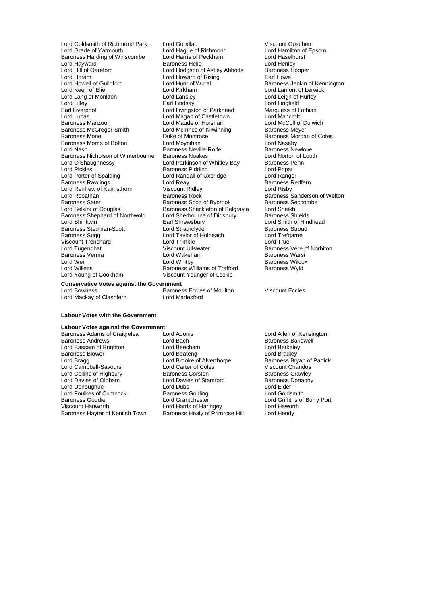Baroness Harding of Winscombe Lord Harris of Peckham Lord Haselhurst Lord Haselhurst Lord Haselhurst Baroness Helic Lord Hayward **Communist Communist Communist Communist Communist Communist Communist Communist Communist Communist Communist Communist Communist Communist Communist Communist Communist Communist Communist Communist Communis** Lord Hill of Oareford **Lord Hodgson of Astley Abbotts** Baroness Hord Hodgson of Astley Abbotts Baroness Hord Hove<br>Lord Horam **Lord Howard of Rising** Earl Howe Lord Horam Lord Horam Lord Horam Lord Horam Lord Horam Lord Hunt of Wirral Lord Howell of Guildford Lord Hunt of Wirral **Collact Communist Construction Construction**<br>
Lord Keen of Elie **Lord Kennington**<br>
Lord Keen of Elie **Lord Kennington** Lord Lang of Monkton Lord Lansley Lord Lang Lord Leigh of I<br>
Lord Lilley Lord Lindsay Lord Lindsay Lord Livingston of Parkhead Marquess of L<br>
Lord Livingston of Parkhead Marquess of L Lord Lilley Earl Lindsay Lord Lingfield Earl Liverpool Lord Livingston of Parkhead Marquess of Lothian Lord Lucas Lord Magan of Castletown Lord Mancroft Baroness Manzoor **Lord Maude of Horsham** Lord McColl of Dulwich<br>
Baroness McGregor-Smith Lord McInnes of Kilwinning Baroness Meyer Baroness McGregor-Smith Lord McInnes of Kilwinning<br>Baroness Mone **Communisty** Duke of Montrose Baroness Morris of Bolton **Lord Moynihan**<br>
Lord Nash **Communist Communist Communist Communist Communist Communist Communist Communist Communist Communist C**<br>
Lord Nash **Communist Communist Communist Communist Communist Com** Baroness Nicholson of Winterbourne Baroness Noakes Lord Norton of Lord Norton of Lord Norton of Lord Parkinson of Whitley Bay Baroness Penn Lord O'Shaughnessy Lord Parkinson of Whitley Bay Baroness Penned Cond O'Shaughnessy Lord Parkinson of Whitley Bay Baroness Penned Cond Pickles Baroness Pidding Lord Popat Lord Pickles **Baroness Pidding Lord Popat**<br>
Lord Popat Lord Popat Lord Ranger<br>
Lord Ranger<br>
Lord Ranger Baroness Rawlings **Baroness Feature Controller Controller Controllers Act and Reay Controllers Baroness F**<br>
Lord Real Port Controllers Redference Controllers Real Port Rish Lord Rishy Lord Renfrew of Kaimsthorn Viscount Ridley<br>
Lord Robathan Cord Baroness Rock Lord Robathan Baroness Rock Baroness Sanderson of Welton **Baroness Sater Sater Scott of Baroness Scott of Bybrook Baroness Scott of Bybrook Baroness Scott of Bybrook Baroness Scott of Belgravia**<br>Baroness Shackleton of Belgravia Lord Sheikh Baroness Shephard of Northwold Lord Sherbourne<br>Lord Shinkwin Baroness Carl Shrewsbury Express Stedman-Scott Lord Strathclyde Lord Strathclyde Baroness Stroud<br>Baroness Sugg Lord Taylor of Holbeach Lord Trefgarne Viscount Trenchard Lord Trimble Lord True Lord Tugendhat **Lord Tugendhat** Viscount Ullswater **Baroness Vere of Norbiton**<br>
Baroness Verma **Baroness Verma** Lord Wakeham **Baroness Warsi** Baroness Verma Lord Wakeham Baroness Warsi Lord Wei Lord Whitby Cord White Charless Wilcox<br>
Lord Willetts Cord Cord Care Baroness Williams of Trafford Baroness Wyld Lord Willetts **Baroness Williams of Trafford**<br>
Lord Young of Cookham **Baroness Williams of Trafford** 

Lord Goldsmith of Richmond Park Lord Goodlad 
Lord Goodlat 
Lord Grade of Yarmouth

Lord Grade of Yarmouth

Lord Hague of Richmond

Lord Grade of Yarmouth

Lord Hague of Richmond

Lord Grade of Yarmouth

Lord Grade of Yar Lord Hague of Richmond<br>
Lord Harris of Peckham<br>
Lord Haselhurst Lord Kirkham Lord Lamont of Lerwick<br>
Lord Lansley Lord Leigh of Hurley Duke of Montrose **Baroness Morgan of Cotes**<br>
Lord Moynihan **Baroness Morgan of Cotes** Baroness Neville-Rolfe Baroness Newlove<br>Baroness Noakes Baroness Newlove<br>Lord Norton of Louth Lord Randall of Uxbridge Lord Ranger<br>
Lord Reay Baroness Redfern **Baroness Shackleton of Belgravia** Lord Sheikh<br>
Lord Sherbourne of Didsbury Baroness Shields Earl Shrewsbury **Lord Smith of Hindhead Lord Strathclyde**<br>
Lord Strathclyde **Baroness** Stroud Lord Taylor of Holbeach Lord Trefg<br>Lord Trimble Lord True Viscount Younger of Leckie **Conservative Votes against the Government**

Baroness Eccles of Moulton Viscount Eccles

#### **Labour Votes with the Government**

Lord Mackay of Clashfern Lord Marlesford

# **Labour Votes against the Government**

Lord Bassam of Brighton Baroness Blower **Example 2 Example 2 Lord Boateng Controller** Lord Bradley<br>
Lord Bragg **Controller Controller Controller Bradley**<br>
Lord Bragg **Controller Controller Controller Controller Bradley** Lord Campbell-Savours Lord Carter of Coles Viscount Chandos<br>
Lord Collins of Highbury Baroness Corston Baroness Crawley Lord Collins of Highbury **Baroness Corston** Baroness Crawley<br>
Lord Davies of Oldham **Baroness Corston Baroness Corston Baroness Coraghy** Lord Davies of Oldham Lord Davies of Stamford Baroness I<br>Lord Donoughue Lord Dubs Lord Dubs Lord Donoughue Lord Dubs Lord Elder Lord Foulkes of Cumnock Baroness Golding<br>Baroness Goudie **Baroness** Coudie Lord Grantchester Baroness Goudie Lord Grantchester Lord Griffiths of Burry Port Baroness Hayter of Kentish Town

Baroness Adams of Craigielea Lord Adonis<br>
Lord Baroness Andrews<br>
Lord Bach Cord Bach<br>
Lord Baroness Bakewell Lord Bach **Baroness Bakewell**<br> **Baroness Bakewell**<br>
Lord Berkeley Lord Brooke of Alverthorpe Baroness Bryan of<br>
Lord Carter of Coles 
Viscount Chandos Lord Harris of Haringey Lord Hawort<br>
Baroness Healy of Primrose Hill Lord Hendy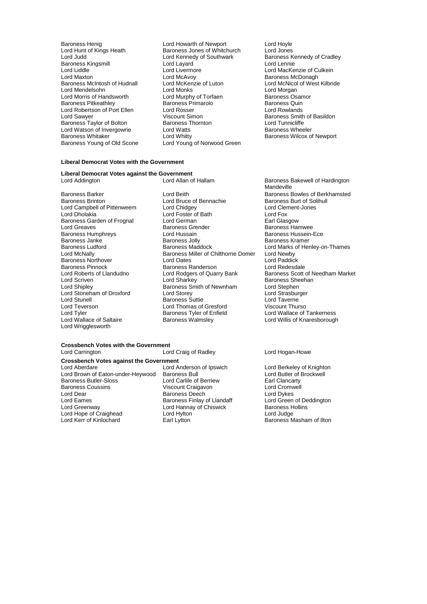Baroness Kingsmill and Lord Layard Lord Liddle Lord Livermore Lord Watson of Invergowrie Lord Watts<br>Baroness Whitaker Lord Whitty

Baroness Henig **Exercise Set Alleh Howarth of Newport** Cord Hoyle<br>
Lord Hunt of Kings Heath **Exercise Servess** Jones of Whitchurch Lord Jones Lord Hunt of Kings Heath **Baroness Jones of Whitchurch** Lord Jones<br>
Lord Judd Und Kennedy of Southwark Baroness Kennedy of Cradley Lord Kennedy of Southwark Baroness Kennedy of Southwark Baroness Kennedy of Southwark Baroness Kennedy Cra Lord Liddle Lord Lord Livermore The Lord MacKenzie of Culkein<br>Lord Maxton Lord McAvoy Lord McAvoy Baroness McDonagh Lord Maxton **Lord McAvoy**<br>
Baroness McDonagh **Baroness McDonagh**<br>
Lord McNicol of West **Lord McKenzie of Luton** Lord McNicol of West Baroness McIntosh of Hudnall Lord McKenzie of Luton Lord McNicol of West Kilbride Lord Mendelsohn **Lord Monks** Lord Monks Lord Morgan<br>
Lord Morris of Handsworth Lord Murphy of Torfaen **Baroness** Osamor Lord Murphy of Torfaen **Lord Murphy of Torfaen Baroness Osamor**<br>Baroness Primarolo Baroness Quin Baroness Pitkeathley Baroness Primarolo Baroness Quin Lord Robertson of Port Ellen Lord Rosser Lord Rosser Lord Rowlands Lord Sawyer **Viscount Simon**<br>
Baroness Taylor of Bolton Baroness Thornton<br>
Baroness Taylor of Bolton Baroness Thornton **Baroness** Thornton Baroness Taylor of Bolton **Baroness Thornton** Baroness Thornton **Baroness** Wheeler<br>
Lord Watson of Invergowrie Lord Watts Lord Tunnicliffe Baroness Whitaker <br>
Baroness Young of Old Scone Lord Young of Norwood Green<br>
Baroness Young of Old Scone Lord Young of Norwood Green Lord Young of Norwood Green

## **Liberal Democrat Votes with the Government**

**Liberal Democrat Votes against the Government**

Baroness Garden of Frognal Lord German<br>
Lord Greaves Communication Baroness Grender Baroness Janke Baroness Jolly<br>
Baroness Ludford<br>
Baroness Maddock Baroness Pinnock<br>
Lord Roberts of Llandudno<br>
Lord Rodgers of Quarry Bank Lord Tyler<br>
Lord Wallace of Saltaire<br>
Lord Wallace of Saltaire<br>
Baroness Walmsley Lord Wrigglesworth

Baroness Barker **Lord Beith** Lord Beith Baroness Bowles of Berkhamsted Baroness Bowles of Berkhamsted Baroness Burt of Solihull Baroness Burt of Solihull **Baroness Burt of Solidary Charles Baroness Burt of Solidary Baroness Burt of Solidary Charles Baroness Burt of Solidary Charles Baroness Burt of Solidary Charles Baroness Burt of Solidary Charles Baroness Burt of Solidary** Lord Campbell of Pittenweem Lord Chidgey Lord Chingey Lord Clement Clement Cord Clement Clement Clement Lord Fox Lord Dholakia Lord Foster of Bath Lord Fox Lord Greaves **Communist Communist Communist Communist Communist Communist Communist Communist Communist Communist Communist Communist Communist Communist Communist Communist Communist Communist Communist Communist Communis** Lord Hussain **Baroness Hussein-Ece**<br>Baroness Jolly **Baroness Hussein-Ece**<br>Baroness Kramer Baroness Ludford **Baroness Maddock** Lord Marks of Henley-on-Thames<br>Lord McNally **Lord Marks of Henrich Baroness Miller of Chilthorne Domer** Lord Newby Baroness Miller of Chilthorne Domer Lord Newby<br>Lord Oates Lord Paddick Baroness Northover Lord Oates Lord Paddick Lord Roberts of Llandudno Lord Rodgers of Quarry Bank Baroness Scott of Needham Market<br>
Lord Scriven Lord Sharkey Baroness Sheehan Lord Scriven **Lord Scriven Lord Sharkey**<br>
Lord Sharkey **Baroness Smith of Newnham** Lord Stephen<br>
Lord Stephen Lord Streams Smith of Newnham Lord Stephen<br>Lord Storey Lord Strasburger Lord Stoneham of Droxford Lord Storey Lord Storey Lord Strasburger Cord Strasburger Cord Strasburger Cord Strasburger<br>
Lord Stunell Cord Taverne Lord Stunell **Communist Communist Communist Communist Communist Communist Communist Communist Communist Communist Communist Communist Communist Communist Communist Communist Communist Communist Communist Communist Communis** Lord Teverson Lord Thomas of Gresford Viscount Thurso<br>
Lord Tyler Cord Tyler Cord Cancel Baroness Tyler of Enfield<br>
Lord Wallace of Tankerness

# **Crossbench Votes with the Government**

**Crossbench Votes against the Government**

Lord Brown of Eaton-under-Heywood Baroness Bull Lord Butler of I<br>Baroness Butler-Sloss Lord Carlile of Berriew Earl Clancarty Baroness Butler-Sloss **Lord Carlile of Berriew** Earl Clancarty<br>
Baroness Coussins **Lord Crimes** Viscount Craigavon Lord Cromwell Baroness Coussins Viscount Craigavon Lord Cromwell Lord Dear **Constructs** Baroness Deech **Lord Dykes** Lord Dykes<br>
Lord Eames **Constructs** Baroness Finlay of Llandaff Lord Green of Deddington Lord Eames **Baroness Finlay of Llandaff** Lord Green of De<br>
Lord Greenway **Baroness Hollington Corean Corean Corean Corean Corean Corean Corean Corean Corean Corean Corean**<br>
Lord Greenway **Corean Corean Corean Corean Corean** Lord Hope of Craighead Lord Hylton<br>Lord Kerr of Kinlochard Earl Lytton

Lord Anderson of Ipswich Lord Berkeley of Knighton<br>Baroness Bull Lord Butler of Brockwell Lord Hannay of Chiswick Baroness Hord Hannay of Chiswick Baroness Hord Judge

Baroness Bakewell of Hardington Mandeville Lord Willis of Knaresborough

#### Lord Craig of Radley **Lord Hogan-Howe**

Baroness Masham of Ilton